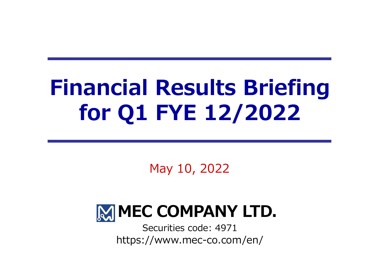# Financial Results Briefing for Q1 FYE 12/2022

May 10, 2022



https://www.mec-co.com/en/ Securities code: 4971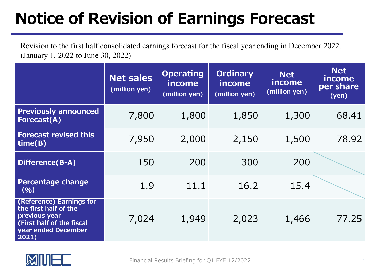## Notice of Revision of Earnings Forecast

Revision to the first half consolidated earnings forecast for the fiscal year ending in December 2022.(January 1, 2022 to June 30, 2022)

|                                                                                                                                 | <b>Net sales</b><br>(million yen) | <b>Operating</b><br>income<br>(million yen) | <b>Ordinary</b><br>income<br>(million yen) | <b>Net</b><br>income<br>(million yen) | <b>Net</b><br>income<br>per share<br>(yen) |
|---------------------------------------------------------------------------------------------------------------------------------|-----------------------------------|---------------------------------------------|--------------------------------------------|---------------------------------------|--------------------------------------------|
| <b>Previously announced</b><br>Forecast(A)                                                                                      | 7,800                             | 1,800                                       | 1,850                                      | 1,300                                 | 68.41                                      |
| <b>Forecast revised this</b><br>time(B)                                                                                         | 7,950                             | 2,000                                       | 2,150                                      | 1,500                                 | 78.92                                      |
| Difference(B-A)                                                                                                                 | 150                               | 200                                         | 300                                        | 200                                   |                                            |
| <b>Percentage change</b><br>(9/6)                                                                                               | 1.9                               | 11.1                                        | 16.2                                       | 15.4                                  |                                            |
| (Reference) Earnings for<br>the first half of the<br>previous year<br>(First half of the fiscal<br>year ended December<br>2021) | 7,024                             | 1,949                                       | 2,023                                      | 1,466                                 | 77.25                                      |

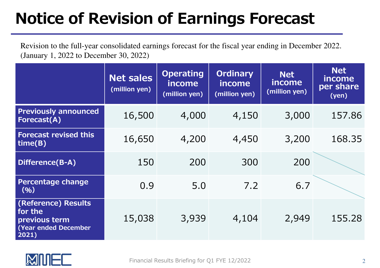## Notice of Revision of Earnings Forecast

Revision to the full-year consolidated earnings forecast for the fiscal year ending in December 2022.(January 1, 2022 to December 30, 2022)

|                                                                                  | <b>Net sales</b><br>(million yen) | <b>Operating</b><br>income<br>(million yen) | <b>Ordinary</b><br>income<br>(million yen) | <b>Net</b><br>income<br>(million yen) | <b>Net</b><br>income<br>per share<br>(yen) |
|----------------------------------------------------------------------------------|-----------------------------------|---------------------------------------------|--------------------------------------------|---------------------------------------|--------------------------------------------|
| <b>Previously announced</b><br><b>Forecast(A)</b>                                | 16,500                            | 4,000                                       | 4,150                                      | 3,000                                 | 157.86                                     |
| <b>Forecast revised this</b><br>$\mathsf{time}(B)$                               | 16,650                            | 4,200                                       | 4,450                                      | 3,200                                 | 168.35                                     |
| Difference(B-A)                                                                  | 150                               | 200                                         | 300                                        | 200                                   |                                            |
| <b>Percentage change</b><br>(96)                                                 | 0.9                               | 5.0                                         | 7.2                                        | 6.7                                   |                                            |
| (Reference) Results<br>for the<br>previous term<br>(Year ended December<br>2021) | 15,038                            | 3,939                                       | 4,104                                      | 2,949                                 | 155.28                                     |

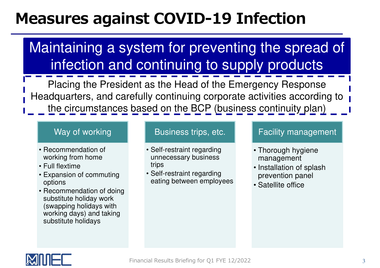## Measures against COVID-19 Infection

Maintaining a system for preventing the spread of infection and continuing to supply products

Placing the President as the Head of the Emergency Response Headquarters, and carefully continuing corporate activities according to the circumstances based on the BCP (business continuity plan)

#### Way of working

- Recommendation of working from home
- Full flextime
- Expansion of commuting options
- Recommendation of doing substitute holiday work (swapping holidays with working days) and taking substitute holidays

#### Business trips, etc.

- Self-restraint regarding unnecessary business trips
- Self-restraint regarding eating between employees

#### Facility management

- Thorough hygiene management
- Installation of splash prevention panel
- Satellite office

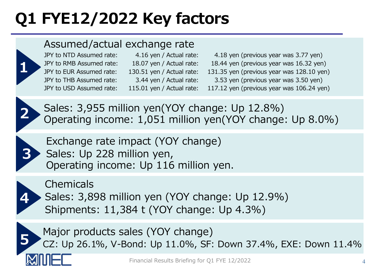# Q1 FYE12/2022 Key factors

### Assumed/actual exchange rate



4.16 yen / Actual rate:

JPY to NTD Assumed rate: 4.16 yen / Actual rate: 4.18 yen (previous year was 3.77 yen)<br>JPY to RMB Assumed rate: 18.07 yen / Actual rate: 18.44 yen (previous year was 16.32 yen JPY to RMB Assumed rate: 18.07 yen / Actual rate: 18.44 yen (previous year was 16.32 yen)<br>JPY to EUR Assumed rate: 130.51 yen / Actual rate: 131.35 yen (previous year was 128.10 yen JPY to EUR Assumed rate: 130.51 yen / Actual rate: 131.35 yen (previous year was 128.10 yen)<br>JPY to THB Assumed rate: 3.44 yen / Actual rate: 3.53 yen (previous year was 3.50 yen) JPY to THB Assumed rate: 3.44 yen / Actual rate: 3.53 yen (previous year was 3.50 yen)<br>JPY to USD Assumed rate: 115.01 yen / Actual rate: 117.12 yen (previous year was 106.24 ye 117.12 yen (previous year was 106.24 yen)



Sales: 3,955 million yen(YOY change: Up 12.8%) Operating income: 1,051 million yen(YOY change: Up 8.0%)



Exchange rate impact (YOY change)Sales: Up 228 million yen, Operating income: Up 116 million yen.



Chemicals

Sales: 3,898 million yen (YOY change: Up 12.9%)

Shipments: 11,384 t (YOY change: Up 4.3%)



Major products sales (YOY change)<br>CZ: Up 26.1%, V-Bond: Up 11.0%, SF: Down 37.4%, EXE: Down 11.4%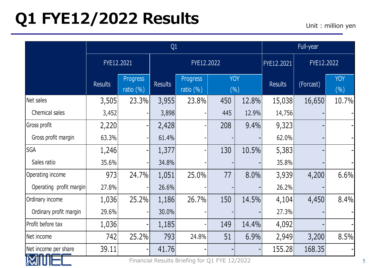## Q1 FYE12/2022 Results

Unit : million yen

|                                                              |                |                           | Full-year      |                           |                    |       |                |            |                   |
|--------------------------------------------------------------|----------------|---------------------------|----------------|---------------------------|--------------------|-------|----------------|------------|-------------------|
|                                                              | FYE12.2021     |                           | FYE12.2022     |                           |                    |       | FYE12.2021     | FYE12.2022 |                   |
|                                                              | <b>Results</b> | Progress<br>ratio $(\% )$ | <b>Results</b> | Progress<br>ratio $(\% )$ | <b>YOY</b><br>(% ) |       | <b>Results</b> | (Forcast)  | <b>YOY</b><br>(%) |
| Net sales                                                    | 3,505          | 23.3%                     | 3,955          | 23.8%                     | 450                | 12.8% | 15,038         | 16,650     | 10.7%             |
| Chemical sales                                               | 3,452          |                           | 3,898          |                           | 445                | 12.9% | 14,756         |            |                   |
| Gross profit                                                 | 2,220          |                           | 2,428          |                           | 208                | 9.4%  | 9,323          |            |                   |
| Gross profit margin                                          | 63.3%          |                           | 61.4%          |                           |                    |       | 62.0%          |            |                   |
| <b>SGA</b>                                                   | 1,246          |                           | 1,377          |                           | 130                | 10.5% | 5,383          |            |                   |
| Sales ratio                                                  | 35.6%          |                           | 34.8%          |                           |                    |       | 35.8%          |            |                   |
| Operating income                                             | 973            | 24.7%                     | 1,051          | 25.0%                     | 77                 | 8.0%  | 3,939          | 4,200      | 6.6%              |
| Operating profit margin                                      | 27.8%          |                           | 26.6%          |                           |                    |       | 26.2%          |            |                   |
| Ordinary income                                              | 1,036          | 25.2%                     | 1,186          | 26.7%                     | 150                | 14.5% | 4,104          | 4,450      | 8.4%              |
| Ordinary profit margin                                       | 29.6%          |                           | 30.0%          |                           |                    |       | 27.3%          |            |                   |
| Profit before tax                                            | 1,036          |                           | 1,185          |                           | 149                | 14.4% | 4,092          |            |                   |
| Net income                                                   | 742            | 25.2%                     | 793            | 24.8%                     | 51                 | 6.9%  | 2,949          | 3,200      | 8.5%              |
| Net income per share                                         | 39.11          |                           | 41.76          |                           |                    |       | 155.28         | 168.35     |                   |
| Financial Results Briefing for Q1 FYE 12/2022<br><b>AVIL</b> |                |                           |                |                           |                    |       |                |            |                   |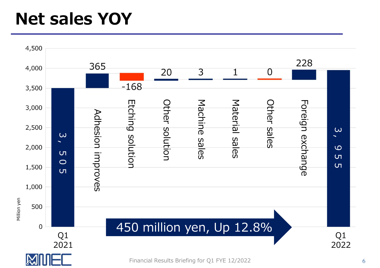# Net sales YOY

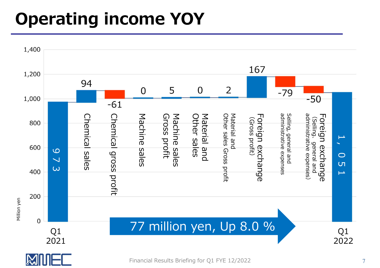# Operating income YOY





Financial Results Briefing for Q1 FYE 12/2022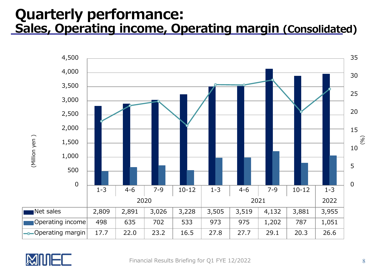### Quarterly performance:Sales, Operating income, Operating margin (Consolidated)



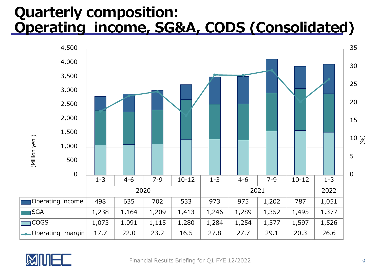### Quarterly composition: Operating income, SG&A, CODS (Consolidated)



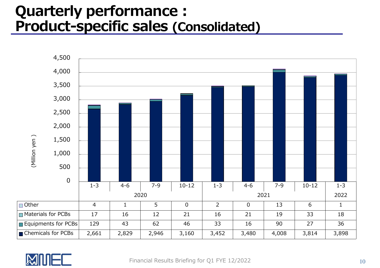# Quarterly performance : Product-specific sales (Consolidated)



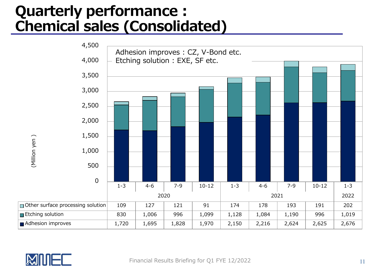# Quarterly performance :<br>Chemical sales (Consolidated)



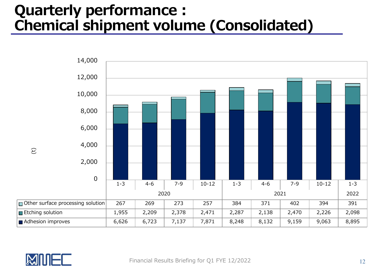# Quarterly performance : Chemical shipment volume (Consolidated)



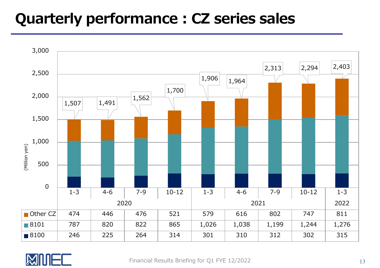## Quarterly performance : CZ series sales



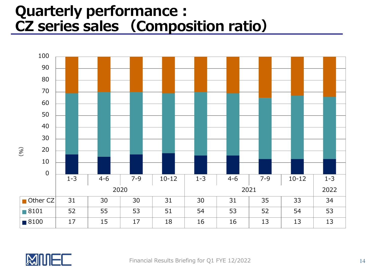# Quarterly performance :<br>CZ series sales (Composition ratio)



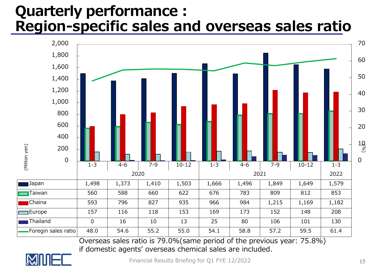### Quarterly performance : Region-specific sales and overseas sales ratio



Overseas sales ratio is 79.0%(same period of the previous year: 75.8%) if domestic agents' overseas chemical sales are included.



Financial Results Briefing for Q1 FYE 12/2022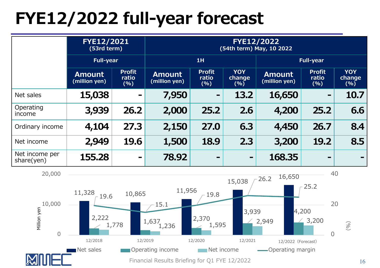# FYE12/2022 full-year forecast

|                              | <b>FYE12/2021</b><br>(53rd term) |                                | FYE12/2022<br>(54th term) May, 10 2022 |                                |                              |                                |                                |                              |  |
|------------------------------|----------------------------------|--------------------------------|----------------------------------------|--------------------------------|------------------------------|--------------------------------|--------------------------------|------------------------------|--|
|                              | <b>Full-year</b>                 |                                | 1H                                     |                                |                              | <b>Full-year</b>               |                                |                              |  |
|                              | <b>Amount</b><br>(million yen)   | <b>Profit</b><br>ratio<br>(% ) | <b>Amount</b><br>(million yen)         | <b>Profit</b><br>ratio<br>(% ) | <b>YOY</b><br>change,<br>(%) | <b>Amount</b><br>(million yen) | <b>Profit</b><br>ratio<br>(% ) | <b>YOY</b><br>change<br>(% ) |  |
| Net sales                    | 15,038                           |                                | 7,950                                  | $\blacksquare$                 | 13.2                         | 16,650                         | $\blacksquare$                 | 10.7                         |  |
| Operating<br>income          | 3,939                            | 26.2                           | 2,000                                  | 25.2                           | 2.6                          | 4,200                          | 25.2                           | 6.6                          |  |
| Ordinary income              | 4,104                            | 27.3                           | 2,150                                  | 27.0                           | 6.3                          | 4,450                          | 26.7                           | 8.4                          |  |
| Net income                   | 2,949                            | 19.6                           | 1,500                                  | 18.9                           | 2.3                          | 3,200                          | 19.2                           | 8.5                          |  |
| Net income per<br>share(yen) | 155.28                           | $\blacksquare$                 | 78.92                                  | $\qquad \qquad \blacksquare$   | $\blacksquare$               | 168.35                         | $\qquad \qquad \blacksquare$   |                              |  |

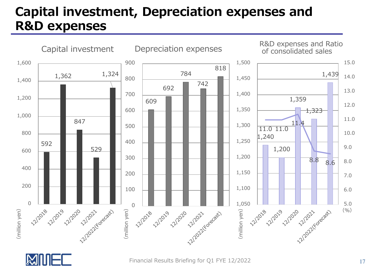### Capital investment, Depreciation expenses and R&D expenses





Financial Results Briefing for Q1 FYE 12/2022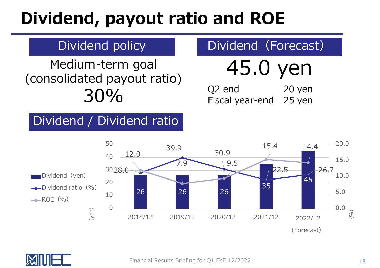# Dividend, payout ratio and ROE

### Dividend policy

Medium-term goal(consolidated payout ratio)30%

# 45.0 yen

20 yen<br>25 ven Q2 end Fiscal year-end<sup>25</sup> yen

Dividend (Forecast)

### Dividend / Dividend ratio



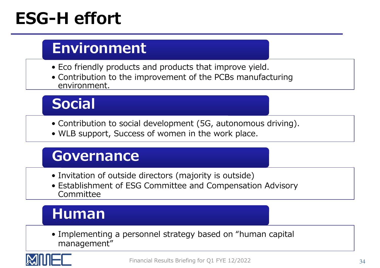# **ESG-H effort**

### Environment

- Eco friendly products and products that improve yield.<br>• Contribution to the improvement of the PCBs manufac
- Contribution to the improvement of the PCBs manufacturing environment.

## Social

- Contribution to social development (5G, autonomous driving).<br>• WLB sunnort, Success of women in the work place.
- WLB support, Success of women in the work place.

### Governance

- Invitation of outside directors (majority is outside)<br>• Establishment of ESG Committee and Compensatio
- Establishment of ESG Committee and Compensation Advisory Committee

### Human

• Implementing a personnel strategy based on "human capital management"